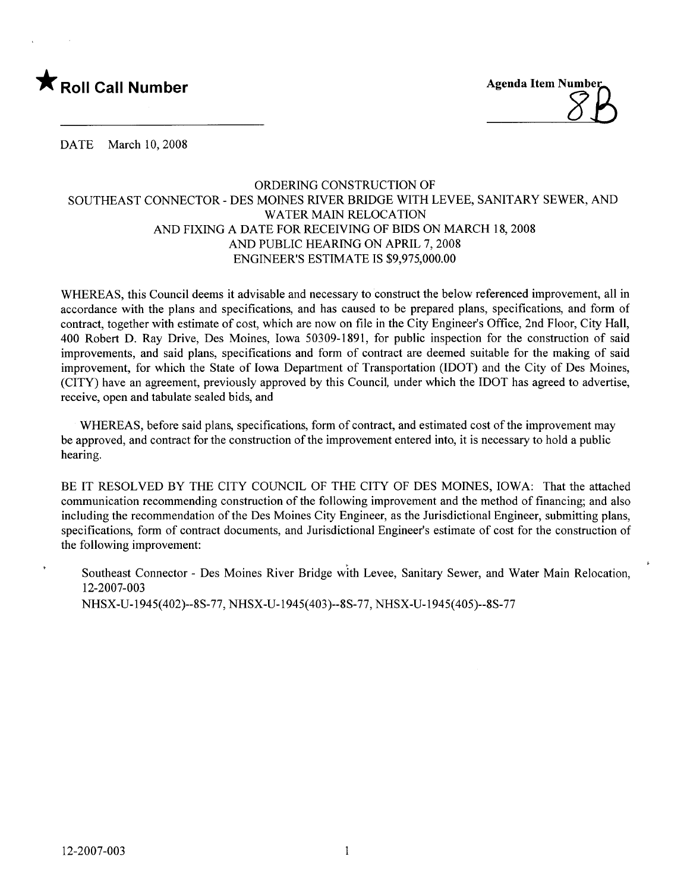

DATE March 10, 2008

# ORDERING CONSTRUCTION OF SOUTHEAST CONNECTOR - DES MOINES RIVER BRIDGE WITH LEVEE, SANITARY SEWER, AND WATER MAIN RELOCATION AND FIXING A DATE FOR RECEIVING OF BIDS ON MARCH 18, 2008 AND PUBLIC HEARING ON APRIL 7, 2008 ENGINEER'S ESTIMATE IS \$9,975,000.00

WHEREAS, this Council deems it advisable and necessary to construct the below referenced improvement, all in accordance with the plans and specifications, and has caused to be prepared plans, specifications, and form of contract, together with estimate of cost, which are now on fie in the City Engineer's Office, 2nd Floor, City Hall, 400 Robert D. Ray Drive, Des Moines, Iowa 50309-1891, for public inspection for the construction of said improvements, and said plans, specifications and form of contract are deemed suitable for the making of said improvement, for which the State of Iowa Department of Transportation (IDOT) and the City of Des Moines, (CITY) have an agreement, previously approved by this Council, under which the IDOT has agreed to advertise, receive, open and tabulate sealed bids, and

WHEREAS, before said plans, specifications, form of contract, and estimated cost of the improvement may be approved, and contract for the construction of the improvement entered into, it is necessary to hold a public hearing.

BE IT RESOLVED BY THE CITY COUNCIL OF THE CITY OF DES MOINES, IOWA: That the attached communication recommending construction of the following improvement and the method of financing; and also including the recommendation of the Des Moines City Engineer, as the Jurisdictional Engineer, submitting plans, specifications, form of contract documents, and Jurisdictional Engineer's estimate of cost for the construction of the following improvement:

Southeast Connector - Des Moines River Bridge with Levee, Sanitary Sewer, and Water Main Relocation, 12-2007-003 NHSX-U-1945( 402)--8S-77, NHSX-U-1945( 403)--8S-77, NHSX-U-1945( 405)--8S-77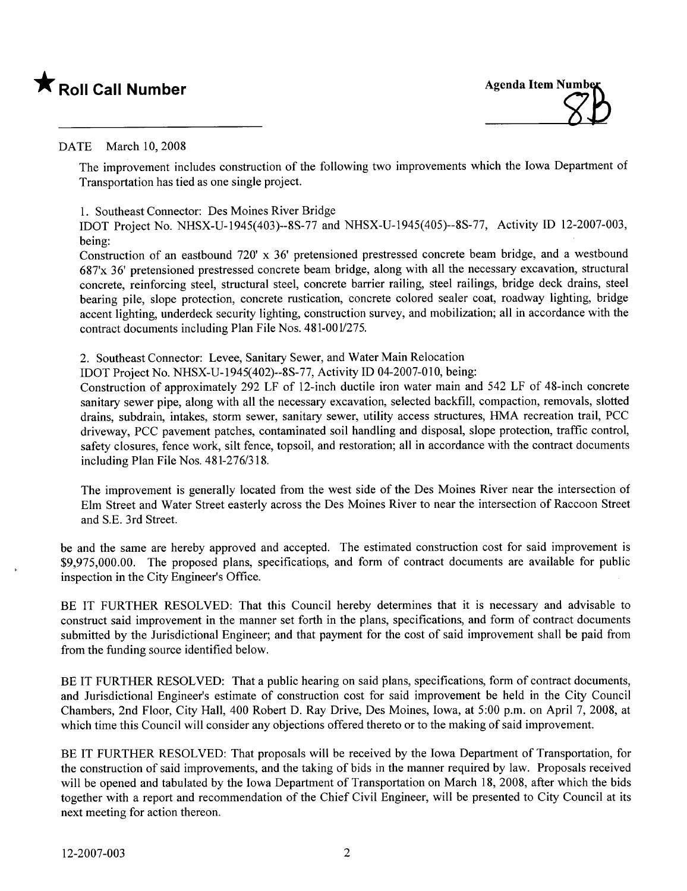# \* Roll Call Number Agenda Item Number



# DATE March 10, 2008

The improvement includes construction of the following two improvements which the Iowa Department of Transportation has tied as one single project.

1. Southeast Connector: Des Moines River Bridge

lOOT Project No. NHSX-U-1945(403)--8S-77 and NHSX-U-1945(405)--8S-77, Activity 10 12-2007-003, being:

Construction of an eastbound 720' x 36' pretensioned prestressed concrete beam bridge, and a westbound 687'x 36' pretensioned prestressed concrete beam bridge, along with all the necessary excavation, structural concrete, reinforcing steel, structural steel, concrete barrier railng, steel railings, bridge deck drains, steel bearing pile, slope protection, concrete rustication, concrete colored sealer coat, roadway lighting, bridge accent lighting, underdeck security lighting, construction survey, and mobilization; all in accordance with the contract documents including Plan File Nos. 481-001/275.

2. Southeast Connector: Levee, Sanitary Sewer, and Water Main Relocation

IDOT Project No. NHSX-U-1945( 402)--8S-77, Activity 10 04-2007-010, being:

Construction of approximately 292 LF of l2-inch ductile iron water main and 542 LF of 48-inch concrete sanitary sewer pipe, along with all the necessary excavation, selected backfill, compaction, removals, slotted drains, subdrain, intakes, storm sewer, sanitary sewer, utilty access structures, HMA recreation trail, PCC driveway, PCC pavement patches, contaminated soil handling and disposal, slope protection, traffic control, safety closures, fence work, silt fence, topsoil, and restoration; all in accordance with the contract documents including Plan File Nos. 481-276/318.

The improvement is generally located from the west side of the Des Moines River near the intersection of Elm Street and Water Street easterly across the Des Moines River to near the intersection of Raccoon Street and S.E. 3rd Street.

be and the same are hereby approved and accepted. The estimated construction cost for said improvement is \$9,975,000.00. The proposed plans, specifications, and form of contract documents are available for public inspection in the City Engineer's Office.

BE IT FURTHER RESOLVED: That this Council hereby determines that it is necessary and advisable to construct said improvement in the manner set forth in the plans, specifications, and form of contract documents submitted by the Jurisdictional Engineer; and that payment for the cost of said improvement shall be paid from from the funding source identified below.

BE IT FURTHER RESOLVED: That a public hearing on said plans, specifications, form of contract documents, and Jurisdictional Engineer's estimate of construction cost for said improvement be held in the City Council Chambers, 2nd Floor, City Hall, 400 Robert D. Ray Drive, Des Moines, Iowa, at 5:00 p.m. on April 7, 2008, at which time this Council will consider any objections offered thereto or to the making of said improvement.

BE IT FURTHER RESOLVED: That proposals will be received by the Iowa Department of Transportation, for the construction of said improvements, and the taking of bids in the manner required by law. Proposals received will be opened and tabulated by the Iowa Department of Transportation on March 18, 2008, after which the bids together with a report and recommendation of the Chief Civil Engineer, will be presented to City Council at its next meeting for action thereon.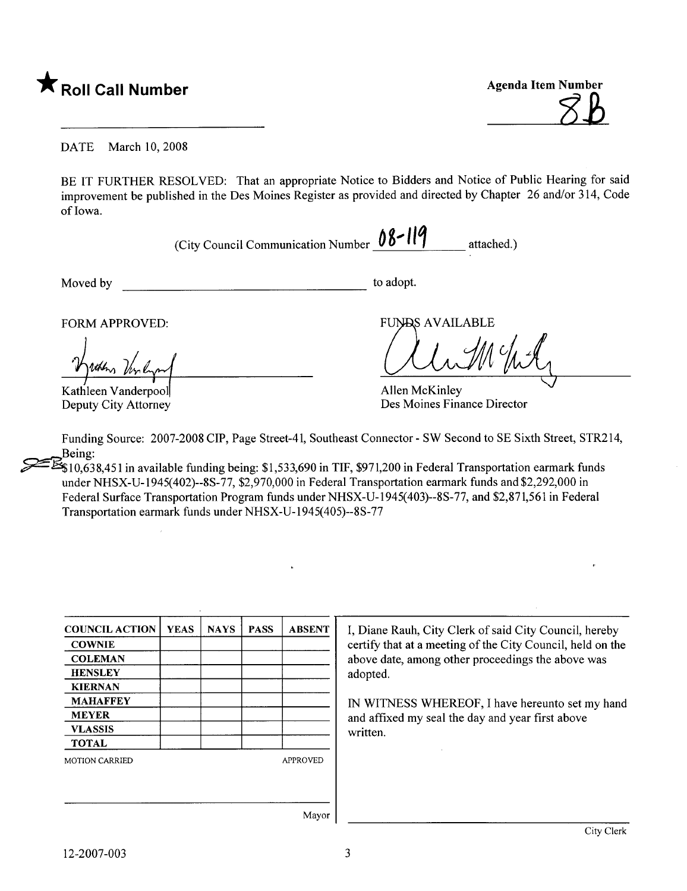

DATE March 10, 2008

BE IT FURTHER RESOLVED: That an appropriate Notice to Bidders and Notice of Public Hearing for said improvement be published in the Des Moines Register as provided and directed by Chapter 26 and/or 314, Code of Iowa.

(City Council Communication Number  $08 - 119$  attached.)

Moved by to adopt.

FORM APPROVED:

Kathleen Vanderpool Deputy City Attorney

**FUNDS AVAILABLE** 

Allen McKinley Des Moines Finance Director

Funding Source: 2007-2008 CIP, Page Street-4l, Southeast Connector - SW Second to SE Sixth Street, STR2l4, Being:

 $\mathbb{Z}_{10,638,451}$  in available funding being: \$1,533,690 in TIF, \$971,200 in Federal Transportation earmark funds under NHSX-U-1945(402)--8S-77, \$2,970,000 in Federal Transportation earmark funds and \$2,292,000 in Federal Surface Transportation Program funds under NHSX-U-1945( 403)--8S-77, and \$2,871,561 in Federal Transportation earmark funds underNHSX-U-1945(405)--8S-77

| <b>COUNCIL ACTION</b> | <b>YEAS</b> | <b>NAYS</b> | <b>PASS</b> | <b>ABSENT</b>   |
|-----------------------|-------------|-------------|-------------|-----------------|
| <b>COWNIE</b>         |             |             |             |                 |
| <b>COLEMAN</b>        |             |             |             |                 |
| <b>HENSLEY</b>        |             |             |             |                 |
| <b>KIERNAN</b>        |             |             |             |                 |
| <b>MAHAFFEY</b>       |             |             |             |                 |
| <b>MEYER</b>          |             |             |             |                 |
| <b>VLASSIS</b>        |             |             |             |                 |
| <b>TOTAL</b>          |             |             |             |                 |
| <b>MOTION CARRIED</b> |             |             |             | <b>APPROVED</b> |
|                       |             |             |             |                 |
|                       |             |             |             |                 |
|                       |             |             |             |                 |
|                       |             |             |             | Mayor           |

iane Rauh, City Clerk of said City Council, hereby ify that at a meeting of the City Council, held on the ve date, among other proceedings the above was pted.

WITNESS WHEREOF, I have hereunto set my hand affixed my seal the day and year first above ten.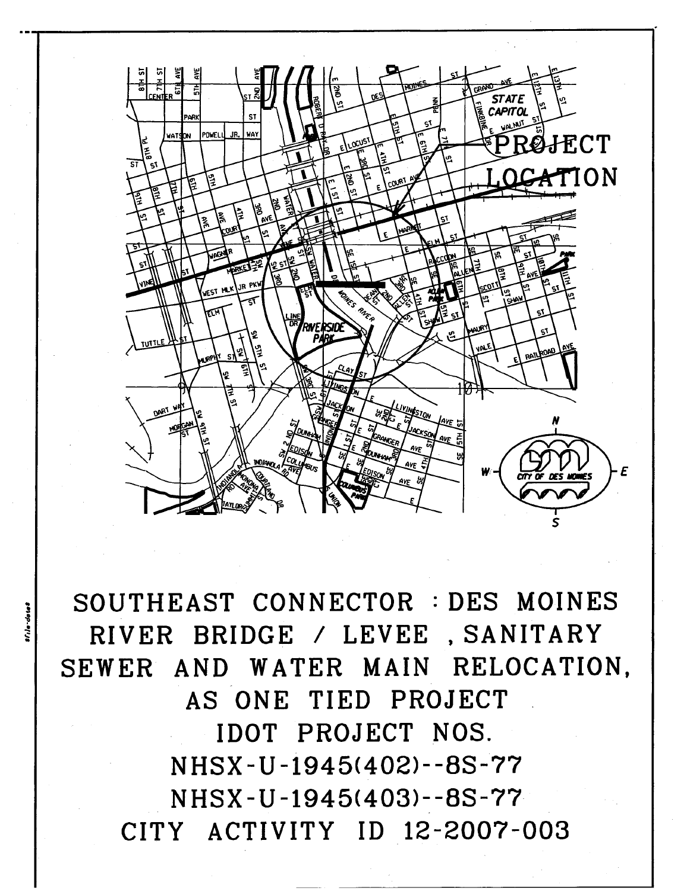

1 SOUTHEAST CONNECTOR : DES MOINES RIVER BRIDGE / LEVEE, SANITARY SEWER AND WATER MAIN RELOCATION, AS ONE TIED PROJECT IDOT PROJECT NOS. NHSX - U -1945(402)- -8S-77 NHSX - U -1945(403)--8S-77 CITY ACTIVITY ID 12-2007-003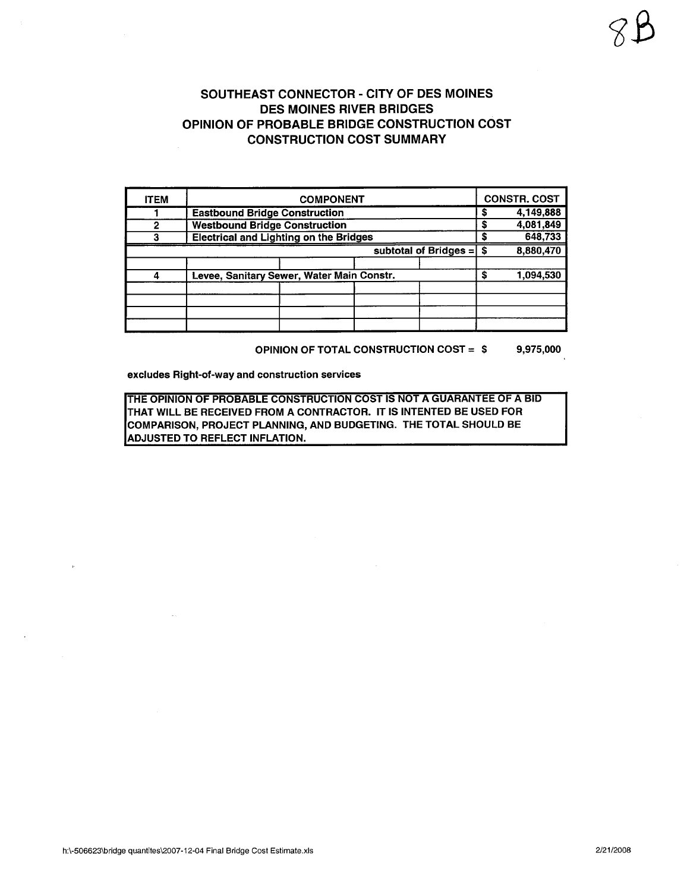| <b>ITEM</b> | <b>COMPONENT</b>                              |                |  |  |  |  |  |  |  |  |  |
|-------------|-----------------------------------------------|----------------|--|--|--|--|--|--|--|--|--|
|             | <b>Eastbound Bridge Construction</b>          | 4,149,888<br>S |  |  |  |  |  |  |  |  |  |
| 2           | <b>Westbound Bridge Construction</b>          | 4,081,849<br>S |  |  |  |  |  |  |  |  |  |
|             | <b>Electrical and Lighting on the Bridges</b> | 648,733<br>S   |  |  |  |  |  |  |  |  |  |
|             | 8,880,470                                     |                |  |  |  |  |  |  |  |  |  |
|             | Levee, Sanitary Sewer, Water Main Constr.     |                |  |  |  |  |  |  |  |  |  |
|             |                                               |                |  |  |  |  |  |  |  |  |  |
|             |                                               |                |  |  |  |  |  |  |  |  |  |
|             |                                               |                |  |  |  |  |  |  |  |  |  |
|             |                                               |                |  |  |  |  |  |  |  |  |  |
|             |                                               |                |  |  |  |  |  |  |  |  |  |

OPINION OF TOTAL CONSTRUCTION COST = \$ 9,975,000

excludes Right-of-way and construction services

THE OPINION OF PROBABLE CONSTRUCTION COST IS NOT A GUARANTEE OF A BID THAT WILL BE RECEIVED FROM A CONTRACTOR. IT IS INTENTED BE USED FOR COMPARISON, PROJECT PLANNING, AND BUDGETING. THE TOTAL SHOULD BE ADJUSTED TO REFLECT INFLATION.

iß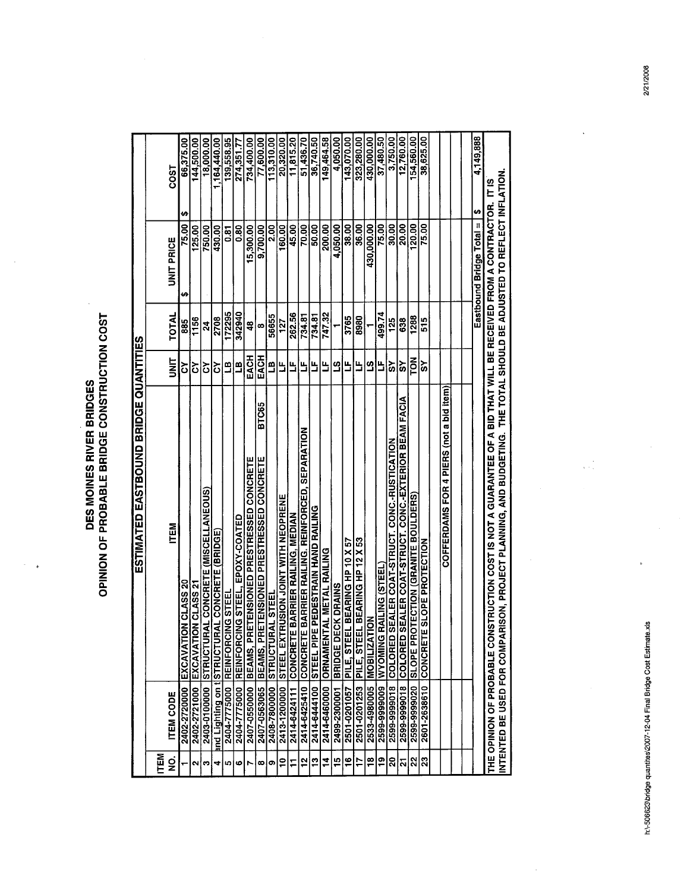**DES MOINES RIVER BRIDGES<br>OPINION OF PROBABLE BRIDGE CONSTRUCTION COST** 

 $\overline{\phantom{a}}$  $\mathcal{A}$   $\frac{1}{2}$ 

|                                              |            | COST              | 66,375.00               | 144,500.00              | 18,000.00                                             | ,164,440.00                 | 139,558.95                    | 274,351.77                                   | 734,400.00                       | 77,600.00                                                     | 113,310.00                       | 20,320.00                                      | $\frac{11,815.20}{2}$                | 51,436.70                                 | 36,740.50                                       | 49,464.58            | 4.050.00                     | 143,070.00                         | 323,280.00                                | 430.000.00                  | 37,480.50                         | 3,750.00                                         | 12,760.00                                                | 154,560.00                               | 38,625.00                     |                                         |  | 4,149,888                      |                                                                                                                                                                                         |
|----------------------------------------------|------------|-------------------|-------------------------|-------------------------|-------------------------------------------------------|-----------------------------|-------------------------------|----------------------------------------------|----------------------------------|---------------------------------------------------------------|----------------------------------|------------------------------------------------|--------------------------------------|-------------------------------------------|-------------------------------------------------|----------------------|------------------------------|------------------------------------|-------------------------------------------|-----------------------------|-----------------------------------|--------------------------------------------------|----------------------------------------------------------|------------------------------------------|-------------------------------|-----------------------------------------|--|--------------------------------|-----------------------------------------------------------------------------------------------------------------------------------------------------------------------------------------|
|                                              |            | <b>UNIT PRICE</b> | ₩<br>75.00              | 125.00                  | 750.00                                                | 430.00                      | ភូ                            | 80                                           | 5,300.00                         | 9,700.00                                                      | $\frac{8}{2}$                    | 160.00                                         | 45.00                                | 70.00                                     | 50.00                                           | 200.00               | 4,050.00                     | 38.00                              | 36.00                                     | 430,000.00                  | 75.00                             | 30.00                                            | 20.00                                                    | $\frac{120.00}{5}$                       | 75.00                         |                                         |  | \$<br>Eastbound Bridge Total = |                                                                                                                                                                                         |
|                                              |            | TOTAL             | ₩<br>885                | 1156                    | $\overline{a}$                                        | 2708                        | 172295                        | 342940                                       | 48                               | œ                                                             | 56655                            | 127                                            | 262.56                               | 734.81                                    | 734.81                                          | 747.32               |                              | 3765                               | 8980                                      |                             | 499.74                            | 125                                              | 638                                                      | 1288                                     | 515                           |                                         |  |                                |                                                                                                                                                                                         |
|                                              |            | i<br>3            | δ                       | δ                       | ें                                                    | δ                           | ≞                             | Ľ                                            | EACH                             | EACH                                                          | РJ                               | ٿا                                             | ظ                                    | ь                                         | Ь                                               | ь                    | <u>ო</u>                     | Ь                                  | ۳                                         | 31                          | Ь                                 | ŠΥ                                               | ັດ                                                       | <b>POL</b>                               | š                             |                                         |  |                                |                                                                                                                                                                                         |
| <b>ESTIMATED EASTBOUND BRIDGE QUANTITIES</b> |            | <b>ITEM</b>       | ON CLASS 20<br>EXCAVATI | DN CLASS 21<br>EXCAVATI | <b>AAL CONCRETE (MISCELLANEOUS)</b><br><b>STRUCTU</b> | <b>RAL CONCRETE (BRIDGE</b> | 2404-7775000 REINFORCING STEE | 2404-7775000 REINFORCING STEEL, EPOXY-COATED | RETENSIONED PRESTRESSED CONCRETE | <b>BTC65</b><br>RETENSIONED PRESTRESSED CONCRETE<br>BEAMS, PI | <b>AL STEE</b><br><b>STRUCTU</b> | <b>FRUSION JOINT WITH NEOPRENE</b><br>STEEL EX | E BARRIER RAILING, MEDIAN<br>CONCRET | E BARRIER RAILING. REINFORCED, SEPARATION | 2414-6444100 STEEL PIPE PEDESTRAIN HAND RAILING | TAL METAL RAILING    | ECK DRAINS<br><b>BRIDGED</b> | EL BEARING HP 10 X 57<br>PILE, STE | EL BEARING HP 12 X 53<br><b>PILE, STE</b> | NOT<br>C<br><b>MOBILIZA</b> | RAILING (STEEL<br><b>NINONING</b> | SEALER COAT-STRUCT. CONC. RUSTICATION<br>COLORED | SEALER COAT-STRUCT. CONC.-EXTERIOR BEAM FACIA<br>COLORED | <b>SHEONDO BEINARD) NOILOSLOUS PROTS</b> | E SLOPE PROTECTION<br>CONCRET | COFFERDAMS FOR 4 PIERS (not a bid item) |  |                                | RISON, PROJECT PLANNING, AND BUDGETING. THE TOTAL SHOULD BE ADJUSTED TO REFLECT INFLATION<br>NSTRUCTION COST IS NOT A GUARANTEE OF A BID THAT WILL BE RECEIVED FROM A CONTRACTOR. IT IS |
|                                              |            | <b>ITEM CODE</b>  | 2402-2720000            | 2402-2721000            | 2403-0100000                                          | and Lighting on t STRUCTUR  |                               |                                              | 2407-0550000 BEAMS, PI           | 2407-0563065                                                  | 2408-7800000                     | 2413-1200000                                   | 2414-6424111                         | 2414-6425410 CONCRET                      |                                                 | 2414-6460000 ORNAMEN | 2499-2300001                 | 2501-0201057                       | 2501-0201253                              | 2533-4980005                | 2599-9999009                      | 2599-9999018                                     | 2599-9999018                                             | 2599-9999020                             | 2601-2638610                  |                                         |  |                                | INTENTED BE USED FOR COMPA<br>THE OPINION OF PROBABLE CO                                                                                                                                |
|                                              | <b>NEN</b> | g                 |                         | N                       | က                                                     | 4                           | ю                             | ဖ                                            | r                                | œ                                                             | ၜ                                | $\tilde{c}$                                    | F                                    | $\frac{1}{2}$                             | $\frac{1}{2}$                                   | $\frac{4}{5}$        | $\frac{15}{1}$               | $\frac{16}{1}$                     | F                                         | $\frac{8}{16}$              | <u>စု</u>                         | 20                                               | $ \mathfrak{a} $ ន $ \mathfrak{a} $ ន                    |                                          |                               |                                         |  |                                |                                                                                                                                                                                         |

 $\ddot{\phantom{a}}$ 

 $\frac{1}{\sqrt{2}}$ 

 $\hat{\boldsymbol{\epsilon}}$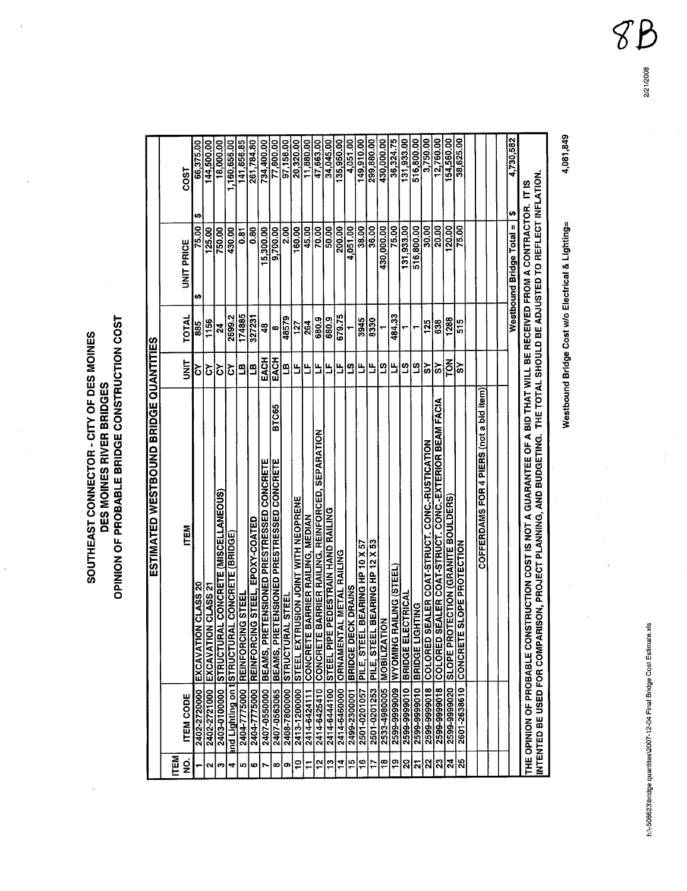h:\-506623\bridge quantites\2007-12-04 Final Bridge Cost Estimate.xls

 $\frac{1}{\sqrt{2}}$ 

# **SOUTHEAST CONNECTOR - CITY OF DES MOINES<br>DES MOINES RIVER BRIDGES<br>OPINION OF PROBABLE BRIDGE CONSTRUCTION COST**

J.

|                |                             | ESTIMATED WESTBOUND BRIDGE QUANTITES                                                                                 |               |               |                          |                 |
|----------------|-----------------------------|----------------------------------------------------------------------------------------------------------------------|---------------|---------------|--------------------------|-----------------|
| ITEM           |                             |                                                                                                                      |               |               |                          |                 |
| g              | <b>ITEM CODE</b>            | <b>ITEM</b>                                                                                                          | <b>SIM</b>    | <b>TOTAL</b>  | <b>UNIT PRICE</b>        | COST            |
|                | 2402-2720000                | ON CLASS 20<br>EXCAVAT                                                                                               | δ             | 885           | 75.00<br>₩               | 66,375.00<br>H  |
| $\sim$         | 2402-2721000 EXCAVAT        | ON CLASS 21                                                                                                          | δ             | 1156          | 125.00                   | 144,500.00      |
| c              | 2403-0100000 STRUCTU        | <b>RAL CONCRETE (MISCELLANEOUS)</b>                                                                                  | δ             | $\mathbf{z}$  | 750.00                   | 18,000.00       |
| 4              | and Lighting on t STRUCTU   | RAL CONCRETE (BRIDGE)                                                                                                | $\mathcal{S}$ | 2699.2        | 430.00                   | 1,160,656.00    |
| ທ              | 2404-7775000                | <b>CONG STEE</b><br><b>REINFORC</b>                                                                                  | <b>AT</b>     | 174885        | 0.81                     | 141, 656.85     |
| ဖ              | 2404-7775000                | EPOXY-COATED<br><b>ING STEEL</b><br><b>REINFORC</b>                                                                  | B             | 327231        | 0.80                     | 261,784.80      |
| r              | 2407-0550000                | RETENSIONED PRESTRESSED CONCRETE<br>BEAMS, PI                                                                        | EACH          | $\frac{3}{4}$ | 5,300.00                 | 734,400.00      |
| œ              | 2407-0563065                | <b>BTC65</b><br>RETENSIONED PRESTRESSED CONCRETE<br>BEAMS, P                                                         | EACH          | œ             | 9,700.00                 | 77,600.00       |
| თ              | 2408-780000                 | RAL STEEL<br><b>STRUCTU</b>                                                                                          | F             | 48579         | 2.00                     | 97,158.00       |
| $\frac{1}{2}$  | 2413-1200000                | TRUSION JOINT WITH NEOPRENE<br>STEEL EX                                                                              | ۳             | 127           | $\frac{160.00}{1}$       | 20,320.00       |
|                | 2414-6424111                | E BARRIER RAILING, MEDIAN<br><b>CONCRET</b>                                                                          | 出             | 264           | 45.00                    | 11.880.00       |
| $\mathbf{r}$   | 2414-6425410                | E BARRIER RAILING. REINFORCED, SEPARATION<br>CONCRET                                                                 | ۳             | 680.9         | 70.00                    | 47,663.00       |
| g              | 2414-6444100                | E PEDESTRAIN HAND RAILING<br>STEEL PIP                                                                               | Ь             | 680.9         | 50.00                    | 34,045.00       |
| $\frac{1}{4}$  | 2414-6460000                | <b>TAL METAL RAILING</b><br>ORNAMEN                                                                                  | Ь             | 679.75        | 200.00                   | 135,950.00      |
| ≅ا             | 2499-2300001                | <b>ECK DRAINS</b><br><b>BRIDGED</b>                                                                                  | ၯ             |               | 4,051.00                 | 4,051.00        |
| $\overline{5}$ | 2501-0201057                | EL BEARING HP 10 X 57<br>PILE, STE                                                                                   | ۳             | 3945          | 38.00                    | 149,910.00      |
| Ħ              | 2501-0201253                | EL BEARING HP 12 X 53<br><b>PILE, STE</b>                                                                            | Ь             | 8330          | 36.00                    | 299,880.00      |
| $\frac{8}{1}$  | 2533-4980005                | TION<br><b>MOBILIZA</b>                                                                                              | <u>က</u>      |               | 430,000.00               | 430,000.00      |
| ႜΩ             | <b>DNINOAM 6006666-6652</b> | <b>RAILING (STEEL)</b>                                                                                               | Ľ             | 484.33        | 75.00                    | 36,324.75       |
| ຸລ             | 2599-9999010                | <b>BRIDGE ELECTRICAL</b>                                                                                             | <u>ဟ</u>      |               | 131,933.00               | 131,933.00      |
| 21             | 2599-9999010 BRIDGE LI      | <b>GHTING</b>                                                                                                        | <u>က</u>      |               | 516,800.00               | 516,800.00      |
| 22             | 2599-9999018                | SEALER COAT-STRUCT. CONC.-RUSTICATION<br>COLORED                                                                     | ప్            | 125           | 30.00                    | 3,750.00        |
| ೫              | 2599-9999018                | SEALER COAT-STRUCT. CONC.-EXTERIOR BEAM FACIA<br>COLORED                                                             | ັດ            | 638           | 20.00                    | 12,760.00       |
| ∣য়            | 2599-9999020                | SLOPE PROTECTION (GRANITE BOULDERS)                                                                                  | <b>POL</b>    | 1288          | 120.00                   | 154,560.00      |
| 25             | 2601-2638610                | E SLOPE PROTECTION<br><b>CONCRET</b>                                                                                 | ັດ            | 515           | 75.00                    | 38,625.00       |
|                |                             |                                                                                                                      |               |               |                          |                 |
|                |                             | COFFERDAMS FOR 4 PIERS (not a bid item)                                                                              |               |               |                          |                 |
|                |                             |                                                                                                                      |               |               |                          |                 |
|                |                             |                                                                                                                      |               |               |                          |                 |
|                |                             |                                                                                                                      |               |               | Westbound Bridge Total = | 4,730,582<br>S) |
|                |                             | THE OPINION OF PROBABLE CONSTRUCTION COST IS NOT A GUARANTEE OF A BID THAT WILL BE RECEIVED FROM A CONTRACTOR. IT IS |               |               |                          |                 |
|                | INTENTED BE USED FOR COMP/  | ARISON, PROJECT PLANNING, AND BUDGETING. THE TOTAL SHOULD BE ADJUSTED TO REFLECT INFLATION                           |               |               |                          |                 |

4,081,849

Westbound Bridge Cost w/o Electrical & Lighting=

P  $\widehat{\mathcal{S}}$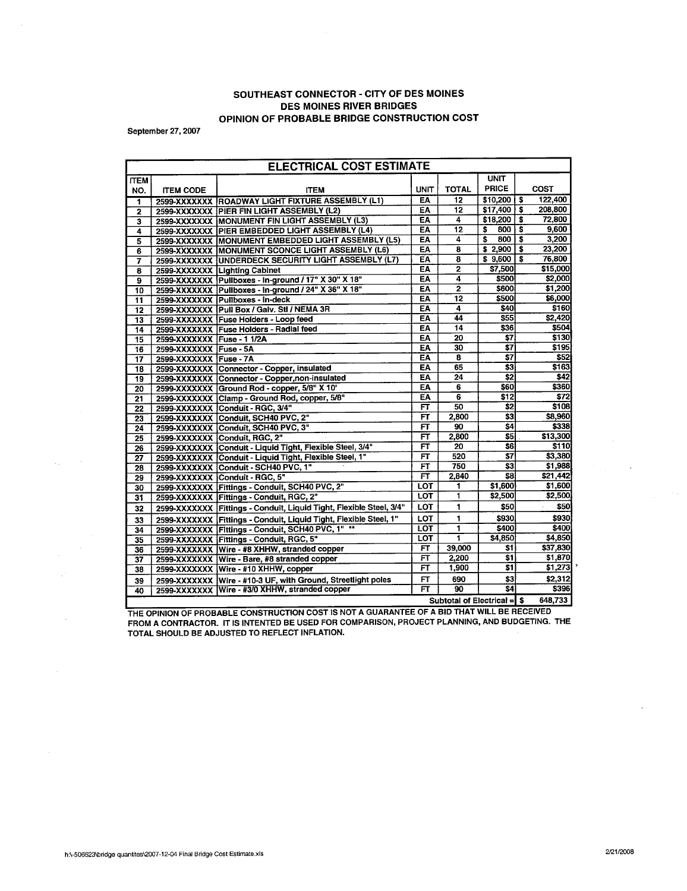### SOUTHEAST CONNECTOR - CITY OF DES MOINES DES MOINES RIVER BRIDGES OPINION OF PROBABLE BRIDGE CONSTRUCTION COST

September 27, 2007

 $\sim$   $\sim$  $\mathcal{A}_{\mathcal{A}}$  .

| <b>ELECTRICAL COST ESTIMATE</b> |                            |                                                                     |                          |                     |                                              |    |                  |  |  |  |
|---------------------------------|----------------------------|---------------------------------------------------------------------|--------------------------|---------------------|----------------------------------------------|----|------------------|--|--|--|
| <b>ITEM</b>                     |                            |                                                                     |                          |                     | <b>UNIT</b>                                  |    |                  |  |  |  |
| NO.                             | <b>ITEM CODE</b>           | <b>ITEM</b>                                                         | UNIT                     | <b>TOTAL</b>        | <b>PRICE</b>                                 |    | COST             |  |  |  |
| 1                               |                            | 2599-XXXXXXX ROADWAY LIGHT FIXTURE ASSEMBLY (L1)                    | EA                       | 12                  | \$10,200                                     | s  | 122,400          |  |  |  |
| 2                               |                            | 2599-XXXXXXX PIER FIN LIGHT ASSEMBLY (L2)                           | EA                       | $\overline{12}$     | \$17,400                                     | \$ | 208,800          |  |  |  |
| 3                               |                            | 2599-XXXXXXX MONUMENT FIN LIGHT ASSEMBLY (L3)                       | EA                       | 4                   | \$18,200                                     | \$ | 72,800           |  |  |  |
| 4                               |                            | 2599-XXXXXXX PIER EMBEDDED LIGHT ASSEMBLY (L4)                      | <b>EA</b>                | $\overline{12}$     | \$<br>800                                    | Ŝ  | 9,600            |  |  |  |
| 5                               |                            | 2599-XXXXXXX MONUMENT EMBEDDED LIGHT ASSEMBLY (L5)                  | EA                       | 4                   | \$<br>800                                    | \$ | 3,200            |  |  |  |
| 6                               |                            | 2599-XXXXXXX MONUMENT SCONCE LIGHT ASSEMBLY (L6)                    | EA                       | 8                   | \$2,900                                      | \$ | 23,200           |  |  |  |
| 7                               |                            | 2599-XXXXXXX UNDERDECK SECURITY LIGHT ASSEMBLY (L7)                 | EA                       | 8                   | \$9,600                                      | Ŝ. | 76,800           |  |  |  |
| 8                               |                            | 2599-XXXXXXX Lighting Cabinet                                       | EA                       | $\overline{2}$      | \$7,500                                      |    | \$15,000         |  |  |  |
| 9                               |                            | 2599-XXXXXXX Pullboxes - In-ground / 17" X 30" X 18"                | EA                       | 4                   | \$500                                        |    | \$2,000          |  |  |  |
| 10                              |                            | 2599-XXXXXXX Pullboxes - In-ground / 24" X 36" X 18"                | EA                       | $\overline{2}$      | \$600                                        |    | \$1,200          |  |  |  |
| $\overline{11}$                 |                            | 2599-XXXXXXX Pullboxes - In-deck                                    | EA                       | 12                  | \$500                                        |    | \$6,000          |  |  |  |
| $\overline{12}$                 |                            | 2599-XXXXXXX Pull Box / Galv. Stl / NEMA 3R                         | EA                       | $\overline{\bf{4}}$ | \$40                                         |    | \$160            |  |  |  |
| $\overline{13}$                 |                            | 2599-XXXXXXX Fuse Holders - Loop feed                               | EA                       | 44                  | $\overline{\textbf{S55}}$                    |    | \$2,420          |  |  |  |
| $\overline{14}$                 |                            | 2599-XXXXXXX Fuse Holders - Radial feed                             | EA                       | 14                  | \$36                                         |    | \$504            |  |  |  |
| $\overline{15}$                 | 2599-XXXXXXX Fuse - 1 1/2A |                                                                     | EA                       | 20                  | $\overline{\mathbf{s}}$ 7                    |    | \$130            |  |  |  |
| $\overline{16}$                 | 2599-XXXXXXX Fuse - 5A     |                                                                     | EA                       | 30                  | \$7                                          |    | \$195            |  |  |  |
| $\overline{17}$                 | 2599-XXXXXXX Fuse - 7A     |                                                                     | ΕA                       | 8                   | \$7                                          |    | \$52             |  |  |  |
| $\overline{18}$                 |                            | 2599-XXXXXXX Connector - Copper, insulated                          | EA                       | 65                  | \$3                                          |    | \$163            |  |  |  |
| 19                              |                            | 2599-XXXXXXX Connector - Copper, non-insulated                      | EÄ                       | 24                  | $\overline{\boldsymbol{32}}$                 |    | \$42             |  |  |  |
| $\overline{20}$                 |                            | 2599-XXXXXXX Ground Rod - copper, 5/8" X 10"                        | ΕA                       | 6                   | \$60                                         |    | \$360            |  |  |  |
| $\overline{21}$                 |                            | 2599-XXXXXXX Clamp - Ground Rod, copper, 5/8"                       | EA                       | $\overline{6}$      | $\overline{$}$ 512                           |    | \$72             |  |  |  |
| 22                              |                            | 2599-XXXXXXX Conduit - RGC, 3/4"                                    | $\overline{\mathsf{F}}$  | 50                  | \$2                                          |    | \$108            |  |  |  |
| $\overline{23}$                 |                            | 2599-XXXXXXX Conduit, SCH40 PVC, 2"                                 | FT                       | 2,800               | $\overline{\boldsymbol{3}}$                  |    | \$8,960          |  |  |  |
| 24                              |                            | 2599-XXXXXXX Conduit, SCH40 PVC, 3"                                 | FT                       | 90                  | $\overline{\overline{\mathbf{s}}\mathbf{4}}$ |    | \$338            |  |  |  |
| $\overline{25}$                 |                            | 2599-XXXXXXX Conduit, RGC, 2"                                       | FT                       | 2,800               | \$5                                          |    | \$13,300         |  |  |  |
| $\overline{26}$                 |                            | 2599-XXXXXXX Conduit - Liquid Tight, Flexible Steel, 3/4"           | F                        | 20                  | \$6                                          |    | \$110            |  |  |  |
| $\overline{27}$                 |                            | 2599-XXXXXXX Conduit - Liquid Tight, Flexible Steel, 1"             | $\overline{FT}$          | 520                 | $\overline{\mathbf{s}}$                      |    | \$3.380          |  |  |  |
| 28                              |                            | 2599-XXXXXXX Conduit - SCH40 PVC, 1"                                | $\overline{\mathsf{FT}}$ | 750                 | \$3                                          |    | \$1,988          |  |  |  |
| 29                              |                            | 2599-XXXXXXX Conduit - RGC, 5"                                      | $\overline{\mathsf{FT}}$ | 2,840               | \$8                                          |    | \$21,442         |  |  |  |
| 30                              |                            | 2599-XXXXXXX Fittings - Conduit, SCH40 PVC, 2"                      | <b>LOT</b>               | 1                   | \$1,600                                      |    | \$1,600          |  |  |  |
| 31                              |                            | 2599-XXXXXXX Fittings - Conduit, RGC, 2"                            | <b>LOT</b>               | 1                   | \$2,500                                      |    | \$2,500          |  |  |  |
| 32                              |                            | 2599-XXXXXXX Fittings - Conduit, Liquid Tight, Flexible Steel, 3/4" | LOT                      | 1                   | \$50                                         |    | \$50             |  |  |  |
| 33                              |                            | 2599-XXXXXXX Fittings - Conduit, Liquid Tight, Flexible Steel, 1"   | LOT                      | 1                   | \$930                                        |    | \$930            |  |  |  |
| $\overline{34}$                 |                            | 2599-XXXXXXX Fittings - Conduit, SCH40 PVC, 1" **                   | <b>LOT</b>               | 1                   | \$400                                        |    | \$400            |  |  |  |
| 35                              |                            | 2599-XXXXXXX Fittings - Conduit, RGC, 5"                            | LOT                      | Ŧ                   | \$4,850                                      |    | \$4.850          |  |  |  |
| 36                              |                            | 2599-XXXXXXX Wire - #8 XHHW, stranded copper                        | FT                       | 39,000              | \$1                                          |    | \$37,830         |  |  |  |
| 37                              |                            | 2599-XXXXXXX Wire - Bare, #8 stranded copper                        | FT                       | 2,200               | $\overline{\textbf{s}}$ 1                    |    | \$1,870          |  |  |  |
| 38                              |                            | 2599-XXXXXXX Wire - #10 XHHW, copper                                | FT                       | 1,900               | $\overline{\textbf{s1}}$                     |    | \$1,273          |  |  |  |
| 39                              |                            | 2599-XXXXXXX Wire - #10-3 UF, with Ground, Streetlight poles        | FT                       | 690                 | \$3                                          |    | \$2,312          |  |  |  |
| 40                              | 2599-XXXXXXX               | Wire - #3/0 XHHW, stranded copper                                   | FT                       | 90                  | $\overline{\mathsf{s}}$ 4                    |    | \$396<br>648,733 |  |  |  |
| Subtotal of Electrical = \$     |                            |                                                                     |                          |                     |                                              |    |                  |  |  |  |

THE OPINION OF PROBABLE CONSTRUCTION COST IS NOT A GUARANTEE OF A BID THAT WILL BE RECEIVED FROM A CONTRACTOR. IT IS INTENTED BE USED FOR COMPARISON, PROJECT PLANNING, AND BUDGETING. THE TOTAL SHOULD BE ADJUSTED TO REFLECT INFLATION,

 $\mathcal{O}_{\mathcal{F}}$